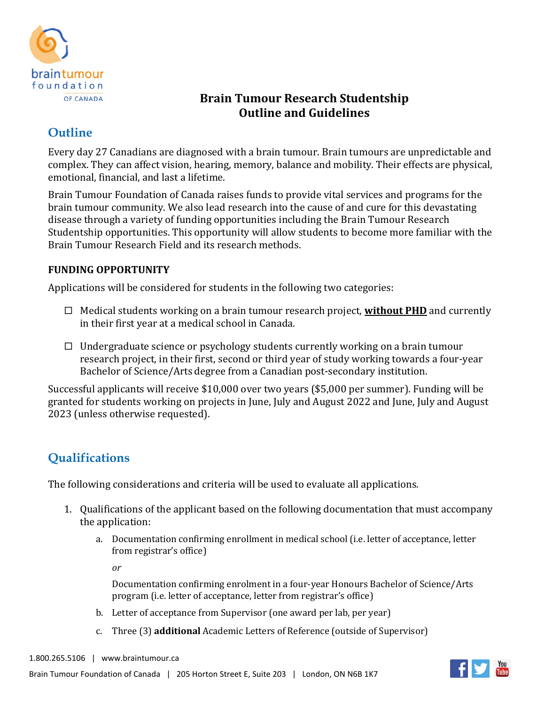

## **Brain Tumour Research Studentship Outline and Guidelines**

# **Outline**

Every day 27 Canadians are diagnosed with a brain tumour. Brain tumours are unpredictable and complex. They can affect vision, hearing, memory, balance and mobility. Their effects are physical, emotional, financial, and last a lifetime.

Brain Tumour Foundation of Canada raises funds to provide vital services and programs for the brain tumour community. We also lead research into the cause of and cure for this devastating disease through a variety of funding opportunities including the Brain Tumour Research Studentship opportunities. This opportunity will allow students to become more familiar with the Brain Tumour Research Field and its research methods.

### **FUNDING OPPORTUNITY**

Applications will be considered for students in the following two categories:

- □ Medical students working on a brain tumour research project, **without PHD** and currently in their first year at a medical school in Canada.
- $\Box$  Undergraduate science or psychology students currently working on a brain tumour research project, in their first, second or third year of study working towards a four-year Bachelor of Science/Arts degree from a Canadian post-secondary institution.

Successful applicants will receive \$10,000 over two years (\$5,000 per summer). Funding will be granted for students working on projects in June, July and August 2022 and June, July and August 2023 (unless otherwise requested).

# **Qualifications**

The following considerations and criteria will be used to evaluate all applications.

- 1. Qualifications of the applicant based on the following documentation that must accompany the application:
	- a. Documentation confirming enrollment in medical school (i.e. letter of acceptance, letter from registrar's office)

*or*

Documentation confirming enrolment in a four-year Honours Bachelor of Science/Arts program (i.e. letter of acceptance, letter from registrar's office)

- b. Letter of acceptance from Supervisor (one award per lab, per year)
- c. Three (3) **additional** Academic Letters of Reference (outside of Supervisor)

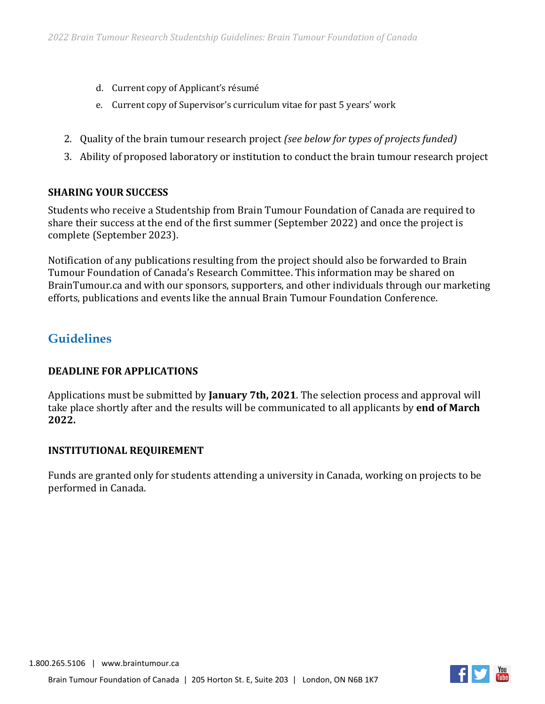- d. Current copy of Applicant's résumé
- e. Current copy of Supervisor's curriculum vitae for past 5 years' work
- 2. Quality of the brain tumour research project *(see below for types of projects funded)*
- 3. Ability of proposed laboratory or institution to conduct the brain tumour research project

#### **SHARING YOUR SUCCESS**

Students who receive a Studentship from Brain Tumour Foundation of Canada are required to share their success at the end of the first summer (September 2022) and once the project is complete (September 2023).

Notification of any publications resulting from the project should also be forwarded to Brain Tumour Foundation of Canada's Research Committee. This information may be shared on BrainTumour.ca and with our sponsors, supporters, and other individuals through our marketing efforts, publications and events like the annual Brain Tumour Foundation Conference.

## **Guidelines**

#### **DEADLINE FOR APPLICATIONS**

Applications must be submitted by **January 7th, 2021**. The selection process and approval will take place shortly after and the results will be communicated to all applicants by **end of March 2022.**

#### **INSTITUTIONAL REQUIREMENT**

Funds are granted only for students attending a university in Canada, working on projects to be performed in Canada.

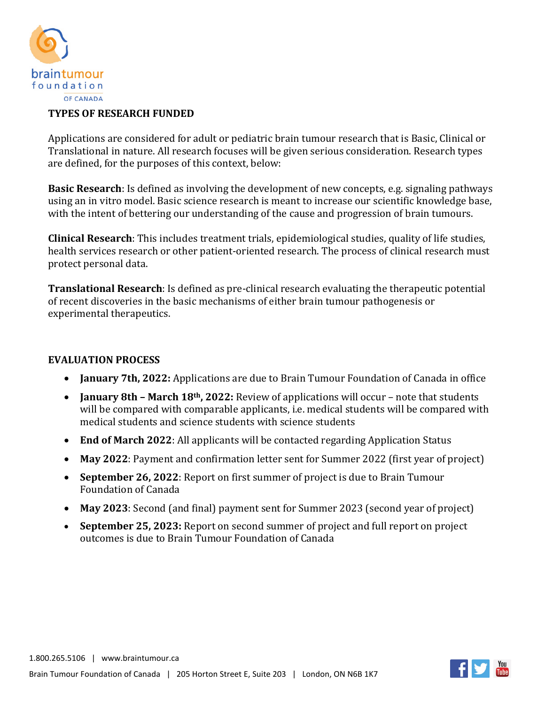

#### **TYPES OF RESEARCH FUNDED**

Applications are considered for adult or pediatric brain tumour research that is Basic, Clinical or Translational in nature. All research focuses will be given serious consideration. Research types are defined, for the purposes of this context, below:

**Basic Research**: Is defined as involving the development of new concepts, e.g. signaling pathways using an in vitro model. Basic science research is meant to increase our scientific knowledge base, with the intent of bettering our understanding of the cause and progression of brain tumours.

**Clinical Research**: This includes treatment trials, epidemiological studies, quality of life studies, health services research or other patient-oriented research. The process of clinical research must protect personal data.

**Translational Research**: Is defined as pre-clinical research evaluating the therapeutic potential of recent discoveries in the basic mechanisms of either brain tumour pathogenesis or experimental therapeutics.

### **EVALUATION PROCESS**

- **January 7th, 2022:** Applications are due to Brain Tumour Foundation of Canada in office
- **January 8th – March 18th, 2022:** Review of applications will occur note that students will be compared with comparable applicants, i.e. medical students will be compared with medical students and science students with science students
- **End of March 2022**: All applicants will be contacted regarding Application Status
- **May 2022**: Payment and confirmation letter sent for Summer 2022 (first year of project)
- **September 26, 2022**: Report on first summer of project is due to Brain Tumour Foundation of Canada
- **May 2023**: Second (and final) payment sent for Summer 2023 (second year of project)
- **September 25, 2023:** Report on second summer of project and full report on project outcomes is due to Brain Tumour Foundation of Canada